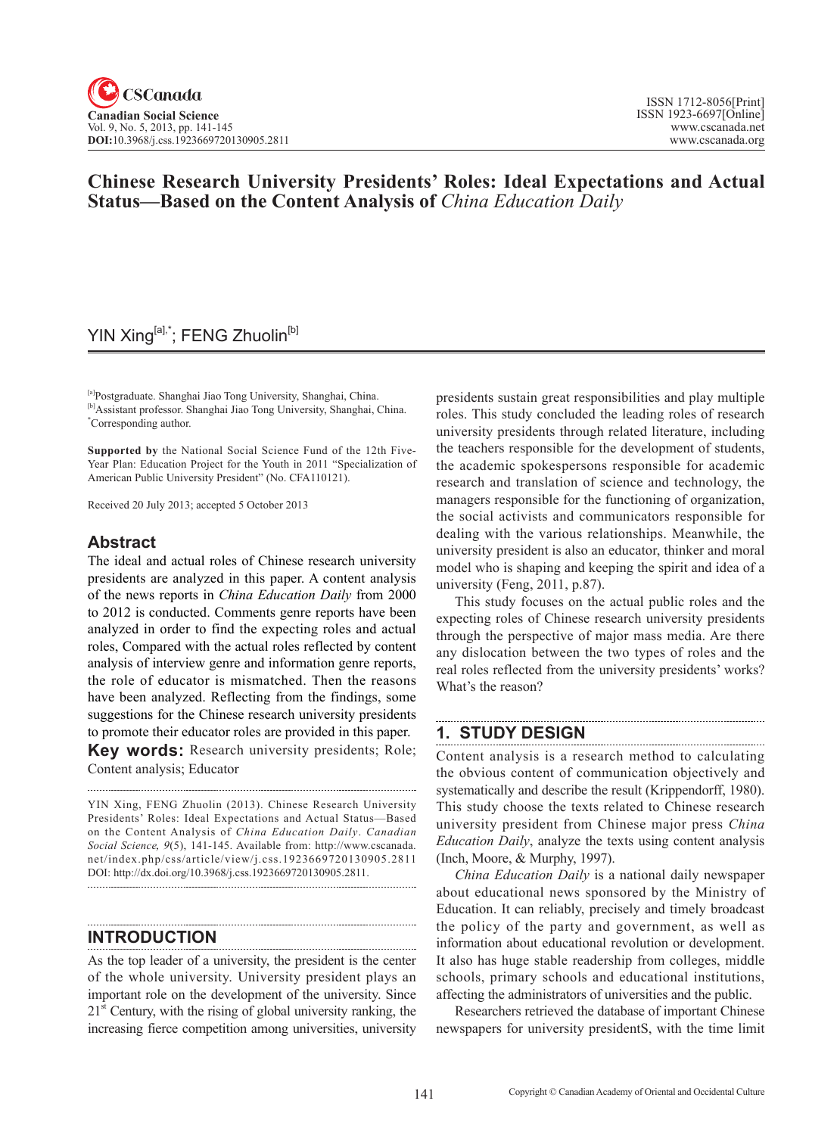# **Chinese Research University Presidents' Roles: Ideal Expectations and Actual Status—Based on the Content Analysis of** *China Education Daily*

## YIN Xing<sup>[a],\*</sup>; FENG Zhuolin<sup>[b]</sup>

[a]Postgraduate. Shanghai Jiao Tong University, Shanghai, China. [b]Assistant professor. Shanghai Jiao Tong University, Shanghai, China. \* Corresponding author.

**Supported by** the National Social Science Fund of the 12th Five-Year Plan: Education Project for the Youth in 2011 "Specialization of American Public University President" (No. CFA110121).

Received 20 July 2013; accepted 5 October 2013

## **Abstract**

The ideal and actual roles of Chinese research university presidents are analyzed in this paper. A content analysis of the news reports in *China Education Daily* from 2000 to 2012 is conducted. Comments genre reports have been analyzed in order to find the expecting roles and actual roles, Compared with the actual roles reflected by content analysis of interview genre and information genre reports, the role of educator is mismatched. Then the reasons have been analyzed. Reflecting from the findings, some suggestions for the Chinese research university presidents to promote their educator roles are provided in this paper.

**Key words:** Research university presidents; Role; Content analysis; Educator

YIN Xing, FENG Zhuolin (2013). Chinese Research University Presidents' Roles: Ideal Expectations and Actual Status—Based on the Content Analysis of *China Education Daily*. *Canadian Social Science*, <sup>9</sup>(5), 141-145. Available from: http://www.cscanada. net/index.php/css/article/view/j.css.1923669720130905.2811 DOI: http://dx.doi.org/10.3968/j.css.1923669720130905.2811.

## **INTRODUCTION**

As the top leader of a university, the president is the center of the whole university. University president plays an important role on the development of the university. Since  $21<sup>st</sup>$  Century, with the rising of global university ranking, the increasing fierce competition among universities, university presidents sustain great responsibilities and play multiple roles. This study concluded the leading roles of research university presidents through related literature, including the teachers responsible for the development of students, the academic spokespersons responsible for academic research and translation of science and technology, the managers responsible for the functioning of organization, the social activists and communicators responsible for dealing with the various relationships. Meanwhile, the university president is also an educator, thinker and moral model who is shaping and keeping the spirit and idea of a university (Feng, 2011, p.87).

This study focuses on the actual public roles and the expecting roles of Chinese research university presidents through the perspective of major mass media. Are there any dislocation between the two types of roles and the real roles reflected from the university presidents' works? What's the reason?

# **1. STUDY DESIGN**

Content analysis is a research method to calculating the obvious content of communication objectively and systematically and describe the result (Krippendorff, 1980). This study choose the texts related to Chinese research university president from Chinese major press *China Education Daily*, analyze the texts using content analysis (Inch, Moore, & Murphy, 1997).

*China Education Daily* is a national daily newspaper about educational news sponsored by the Ministry of Education. It can reliably, precisely and timely broadcast the policy of the party and government, as well as information about educational revolution or development. It also has huge stable readership from colleges, middle schools, primary schools and educational institutions, affecting the administrators of universities and the public.

Researchers retrieved the database of important Chinese newspapers for university presidentS, with the time limit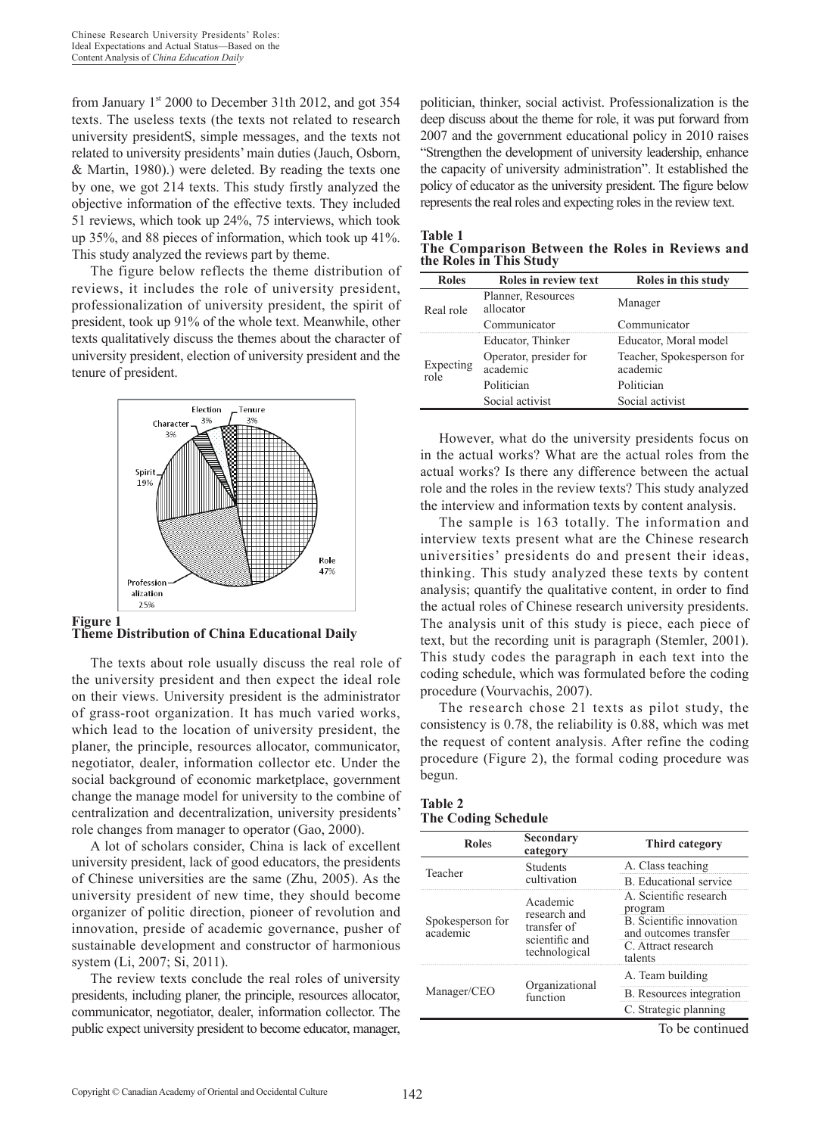from January  $1<sup>st</sup>$  2000 to December 31th 2012, and got 354 texts. The useless texts (the texts not related to research university presidentS, simple messages, and the texts not related to university presidents' main duties (Jauch, Osborn, & Martin, 1980).) were deleted. By reading the texts one by one, we got 214 texts. This study firstly analyzed the objective information of the effective texts. They included 51 reviews, which took up 24%, 75 interviews, which took up 35%, and 88 pieces of information, which took up 41%. This study analyzed the reviews part by theme.

The figure below reflects the theme distribution of reviews, it includes the role of university president, professionalization of university president, the spirit of president, took up 91% of the whole text. Meanwhile, other texts qualitatively discuss the themes about the character of university president, election of university president and the tenure of president.



**Figure 1 Theme Distribution of China Educational Daily**

The texts about role usually discuss the real role of the university president and then expect the ideal role on their views. University president is the administrator of grass-root organization. It has much varied works, which lead to the location of university president, the planer, the principle, resources allocator, communicator, negotiator, dealer, information collector etc. Under the social background of economic marketplace, government change the manage model for university to the combine of centralization and decentralization, university presidents' role changes from manager to operator (Gao, 2000).

A lot of scholars consider, China is lack of excellent university president, lack of good educators, the presidents of Chinese universities are the same (Zhu, 2005). As the university president of new time, they should become organizer of politic direction, pioneer of revolution and innovation, preside of academic governance, pusher of sustainable development and constructor of harmonious system (Li, 2007; Si, 2011).

The review texts conclude the real roles of university presidents, including planer, the principle, resources allocator, communicator, negotiator, dealer, information collector. The public expect university president to become educator, manager, politician, thinker, social activist. Professionalization is the deep discuss about the theme for role, it was put forward from 2007 and the government educational policy in 2010 raises "Strengthen the development of university leadership, enhance the capacity of university administration". It established the policy of educator as the university president. The figure below represents the real roles and expecting roles in the review text.

**Table 1 The Comparison Between the Roles in Reviews and the Roles in This Study**

| <b>Roles</b>      | Roles in review text               | Roles in this study                   |  |
|-------------------|------------------------------------|---------------------------------------|--|
| Real role         | Planner, Resources<br>allocator    | Manager                               |  |
|                   | Communicator                       | Communicator                          |  |
| Expecting<br>role | Educator, Thinker                  | Educator, Moral model                 |  |
|                   | Operator, presider for<br>academic | Teacher, Spokesperson for<br>academic |  |
|                   | Politician                         | Politician                            |  |
|                   | Social activist                    | Social activist                       |  |

However, what do the university presidents focus on in the actual works? What are the actual roles from the actual works? Is there any difference between the actual role and the roles in the review texts? This study analyzed the interview and information texts by content analysis.

The sample is 163 totally. The information and interview texts present what are the Chinese research universities' presidents do and present their ideas, thinking. This study analyzed these texts by content analysis; quantify the qualitative content, in order to find the actual roles of Chinese research university presidents. The analysis unit of this study is piece, each piece of text, but the recording unit is paragraph (Stemler, 2001). This study codes the paragraph in each text into the coding schedule, which was formulated before the coding procedure (Vourvachis, 2007).

The research chose 21 texts as pilot study, the consistency is 0.78, the reliability is 0.88, which was met the request of content analysis. After refine the coding procedure (Figure 2), the formal coding procedure was begun.

#### **Table 2 The Coding Schedule**

| <b>Roles</b>                 | Secondary<br>category                                                      | <b>Third category</b>                                                                                                    |  |
|------------------------------|----------------------------------------------------------------------------|--------------------------------------------------------------------------------------------------------------------------|--|
| Teacher                      | <b>Students</b>                                                            | A. Class teaching                                                                                                        |  |
|                              | cultivation                                                                | <b>B</b> Educational service                                                                                             |  |
| Spokesperson for<br>academic | Academic<br>research and<br>transfer of<br>scientific and<br>technological | A. Scientific research<br>program<br>B. Scientific innovation<br>and outcomes transfer<br>C. Attract research<br>talents |  |
|                              | Organizational<br>function                                                 | A. Team building                                                                                                         |  |
| Manager/CEO                  |                                                                            | B. Resources integration                                                                                                 |  |
|                              |                                                                            | C. Strategic planning                                                                                                    |  |
|                              |                                                                            | To be continued                                                                                                          |  |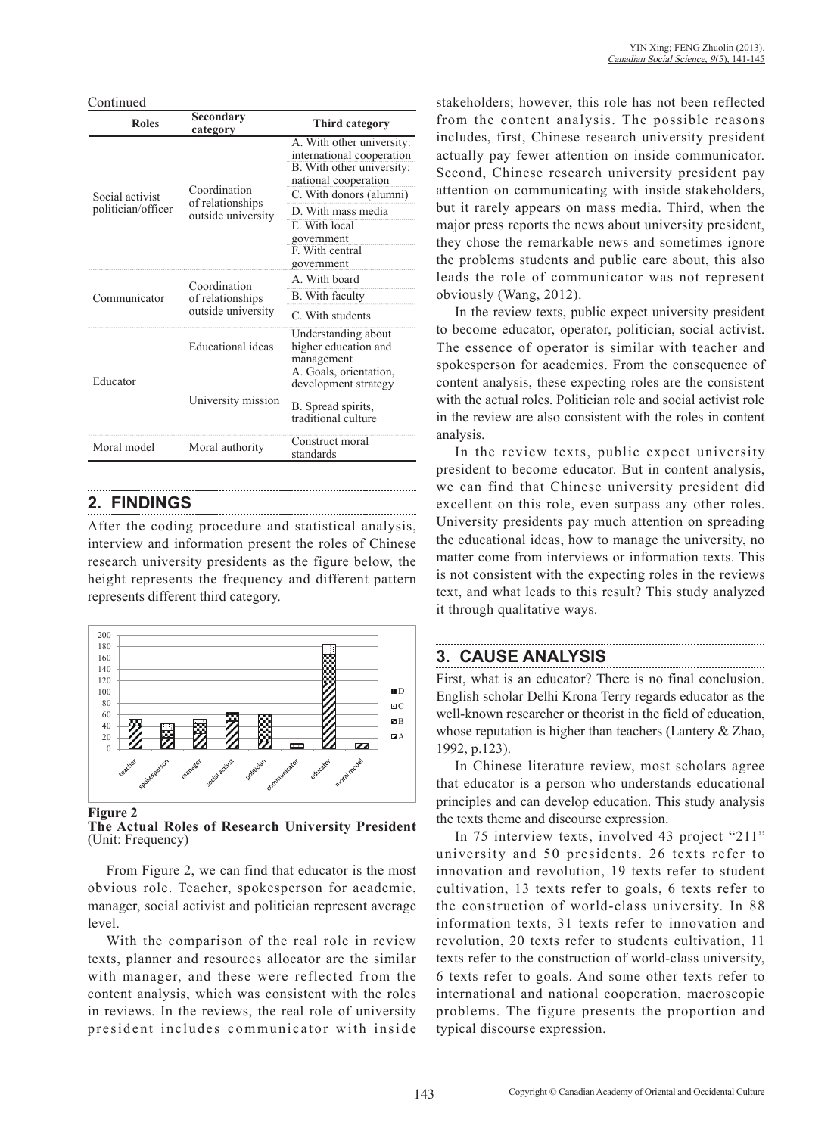Continued

| <b>Roles</b>       | Secondary<br>category                                  | <b>Third category</b>                                                                                                                  |
|--------------------|--------------------------------------------------------|----------------------------------------------------------------------------------------------------------------------------------------|
| Social activist    | Coordination                                           | A. With other university:<br>international cooperation<br>B. With other university:<br>national cooperation<br>C. With donors (alumni) |
| politician/officer | of relationships<br>outside university                 | D. With mass media<br>E. With local<br>government<br>F. With central<br>government                                                     |
|                    | Coordination<br>of relationships<br>outside university | A. With board                                                                                                                          |
| Communicator       |                                                        | B. With faculty                                                                                                                        |
|                    |                                                        | C. With students                                                                                                                       |
|                    | Educational ideas                                      | Understanding about<br>higher education and<br>management                                                                              |
| Educator           | University mission                                     | A. Goals, orientation,<br>development strategy                                                                                         |
|                    |                                                        | B. Spread spirits,<br>traditional culture                                                                                              |
| Moral model        | Moral authority                                        | Construct moral<br>standards                                                                                                           |

### **2. FINDINGS**

After the coding procedure and statistical analysis, interview and information present the roles of Chinese research university presidents as the figure below, the height represents the frequency and different pattern represents different third category.



**Figure 2**

**The Actual Roles of Research University President**  (Unit: Frequency)

From Figure 2, we can find that educator is the most obvious role. Teacher, spokesperson for academic, manager, social activist and politician represent average level.

With the comparison of the real role in review texts, planner and resources allocator are the similar with manager, and these were reflected from the content analysis, which was consistent with the roles in reviews. In the reviews, the real role of university president includes communicator with inside

stakeholders; however, this role has not been reflected from the content analysis. The possible reasons includes, first, Chinese research university president actually pay fewer attention on inside communicator. Second, Chinese research university president pay attention on communicating with inside stakeholders, but it rarely appears on mass media. Third, when the major press reports the news about university president, they chose the remarkable news and sometimes ignore the problems students and public care about, this also leads the role of communicator was not represent obviously (Wang, 2012).

In the review texts, public expect university president to become educator, operator, politician, social activist. The essence of operator is similar with teacher and spokesperson for academics. From the consequence of content analysis, these expecting roles are the consistent with the actual roles. Politician role and social activist role in the review are also consistent with the roles in content analysis.

In the review texts, public expect university president to become educator. But in content analysis, we can find that Chinese university president did excellent on this role, even surpass any other roles. University presidents pay much attention on spreading the educational ideas, how to manage the university, no matter come from interviews or information texts. This is not consistent with the expecting roles in the reviews text, and what leads to this result? This study analyzed it through qualitative ways.

### **3. CAUSE ANALYSIS**

First, what is an educator? There is no final conclusion. English scholar Delhi Krona Terry regards educator as the well-known researcher or theorist in the field of education, whose reputation is higher than teachers (Lantery & Zhao, 1992, p.123).

In Chinese literature review, most scholars agree that educator is a person who understands educational principles and can develop education. This study analysis the texts theme and discourse expression.

In 75 interview texts, involved 43 project "211" university and 50 presidents. 26 texts refer to innovation and revolution, 19 texts refer to student cultivation, 13 texts refer to goals, 6 texts refer to the construction of world-class university. In 88 information texts, 31 texts refer to innovation and revolution, 20 texts refer to students cultivation, 11 texts refer to the construction of world-class university, 6 texts refer to goals. And some other texts refer to international and national cooperation, macroscopic problems. The figure presents the proportion and typical discourse expression.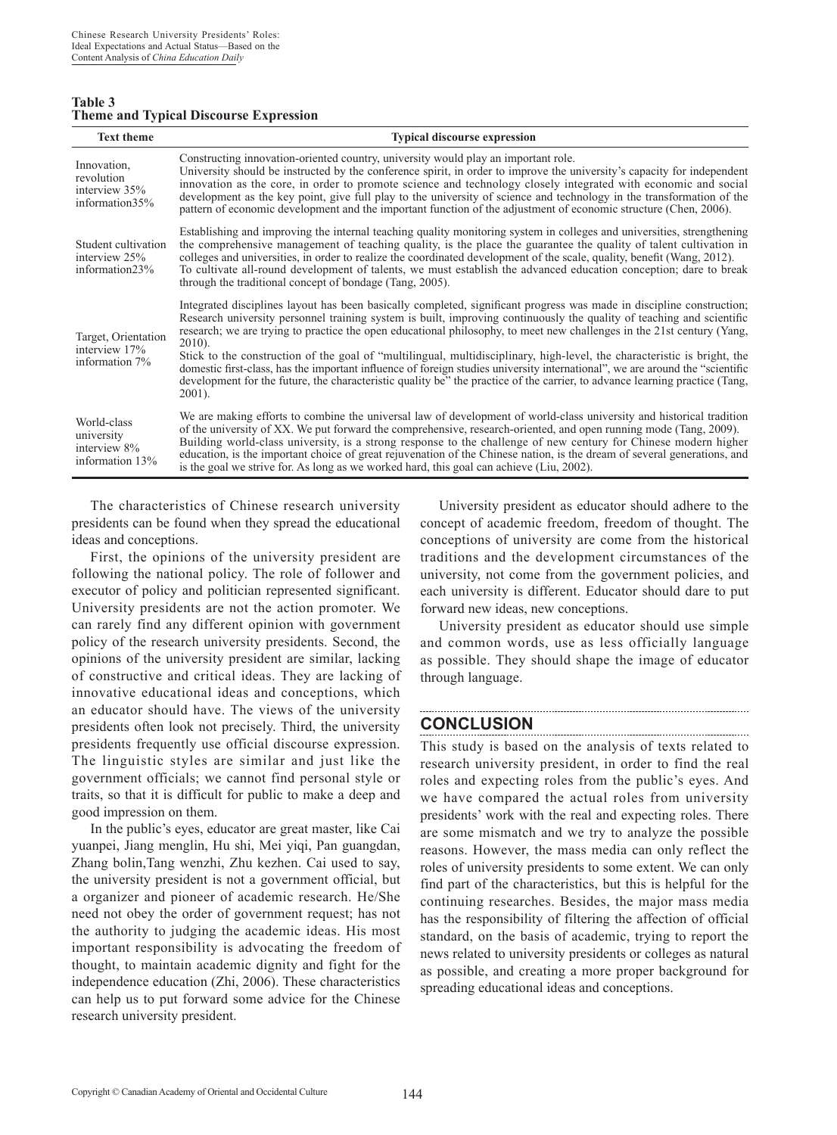| Table 3                                       |  |  |
|-----------------------------------------------|--|--|
| <b>Theme and Typical Discourse Expression</b> |  |  |

| <b>Text theme</b>                                            | <b>Typical discourse expression</b>                                                                                                                                                                                                                                                                                                                                                                                                                                                                                                                                                                                                                                                                                                                                                            |
|--------------------------------------------------------------|------------------------------------------------------------------------------------------------------------------------------------------------------------------------------------------------------------------------------------------------------------------------------------------------------------------------------------------------------------------------------------------------------------------------------------------------------------------------------------------------------------------------------------------------------------------------------------------------------------------------------------------------------------------------------------------------------------------------------------------------------------------------------------------------|
| Innovation,<br>revolution<br>interview 35%<br>information35% | Constructing innovation-oriented country, university would play an important role.<br>University should be instructed by the conference spirit, in order to improve the university's capacity for independent<br>innovation as the core, in order to promote science and technology closely integrated with economic and social<br>development as the key point, give full play to the university of science and technology in the transformation of the<br>pattern of economic development and the important function of the adjustment of economic structure (Chen, 2006).                                                                                                                                                                                                                   |
| Student cultivation<br>interview 25%<br>information23%       | Establishing and improving the internal teaching quality monitoring system in colleges and universities, strengthening<br>the comprehensive management of teaching quality, is the place the guarantee the quality of talent cultivation in<br>colleges and universities, in order to realize the coordinated development of the scale, quality, benefit (Wang, 2012).<br>To cultivate all-round development of talents, we must establish the advanced education conception; dare to break<br>through the traditional concept of bondage (Tang, 2005).                                                                                                                                                                                                                                        |
| Target, Orientation<br>interview 17%<br>information 7%       | Integrated disciplines layout has been basically completed, significant progress was made in discipline construction;<br>Research university personnel training system is built, improving continuously the quality of teaching and scientific<br>research; we are trying to practice the open educational philosophy, to meet new challenges in the 21st century (Yang,<br>$2010$ ).<br>Stick to the construction of the goal of "multilingual, multidisciplinary, high-level, the characteristic is bright, the<br>domestic first-class, has the important influence of foreign studies university international", we are around the "scientific<br>development for the future, the characteristic quality be" the practice of the carrier, to advance learning practice (Tang,<br>$2001$ ). |
| World-class<br>university<br>interview 8%<br>information 13% | We are making efforts to combine the universal law of development of world-class university and historical tradition<br>of the university of XX. We put forward the comprehensive, research-oriented, and open running mode (Tang, 2009).<br>Building world-class university, is a strong response to the challenge of new century for Chinese modern higher<br>education, is the important choice of great rejuvenation of the Chinese nation, is the dream of several generations, and<br>is the goal we strive for. As long as we worked hard, this goal can achieve (Liu, 2002).                                                                                                                                                                                                           |

The characteristics of Chinese research university presidents can be found when they spread the educational ideas and conceptions.

First, the opinions of the university president are following the national policy. The role of follower and executor of policy and politician represented significant. University presidents are not the action promoter. We can rarely find any different opinion with government policy of the research university presidents. Second, the opinions of the university president are similar, lacking of constructive and critical ideas. They are lacking of innovative educational ideas and conceptions, which an educator should have. The views of the university presidents often look not precisely. Third, the university presidents frequently use official discourse expression. The linguistic styles are similar and just like the government officials; we cannot find personal style or traits, so that it is difficult for public to make a deep and good impression on them.

In the public's eyes, educator are great master, like Cai yuanpei, Jiang menglin, Hu shi, Mei yiqi, Pan guangdan, Zhang bolin,Tang wenzhi, Zhu kezhen. Cai used to say, the university president is not a government official, but a organizer and pioneer of academic research. He/She need not obey the order of government request; has not the authority to judging the academic ideas. His most important responsibility is advocating the freedom of thought, to maintain academic dignity and fight for the independence education (Zhi, 2006). These characteristics can help us to put forward some advice for the Chinese research university president.

University president as educator should adhere to the concept of academic freedom, freedom of thought. The conceptions of university are come from the historical traditions and the development circumstances of the university, not come from the government policies, and each university is different. Educator should dare to put forward new ideas, new conceptions.

University president as educator should use simple and common words, use as less officially language as possible. They should shape the image of educator through language.

## **CONCLUSION**

This study is based on the analysis of texts related to research university president, in order to find the real roles and expecting roles from the public's eyes. And we have compared the actual roles from university presidents' work with the real and expecting roles. There are some mismatch and we try to analyze the possible reasons. However, the mass media can only reflect the roles of university presidents to some extent. We can only find part of the characteristics, but this is helpful for the continuing researches. Besides, the major mass media has the responsibility of filtering the affection of official standard, on the basis of academic, trying to report the news related to university presidents or colleges as natural as possible, and creating a more proper background for spreading educational ideas and conceptions.